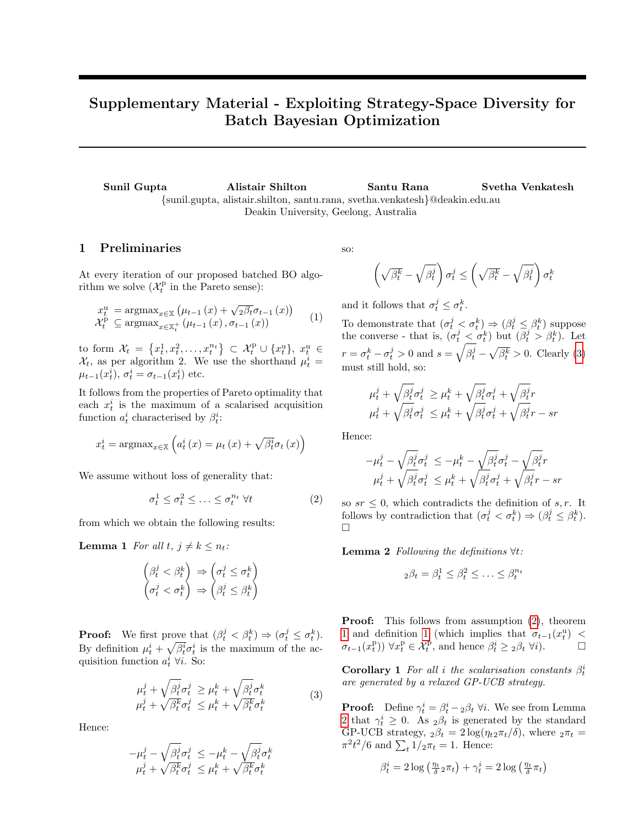# Supplementary Material - Exploiting Strategy-Space Diversity for Batch Bayesian Optimization

Sunil Gupta Alistair Shilton Santu Rana Svetha Venkatesh {sunil.gupta, alistair.shilton, santu.rana, svetha.venkatesh}@deakin.edu.au Deakin University, Geelong, Australia

## 1 Preliminaries

At every iteration of our proposed batched BO algorithm we solve  $(\mathcal{X}_t^{\mathrm{p}})$  in the Pareto sense):

$$
x_t^u = \operatorname{argmax}_{x \in \mathbb{X}} \left( \mu_{t-1}(x) + \sqrt{2\beta_t} \sigma_{t-1}(x) \right)
$$
  

$$
\mathcal{X}_t^{\mathbf{p}} \subseteq \operatorname{argmax}_{x \in \mathbb{X}_t^+} \left( \mu_{t-1}(x), \sigma_{t-1}(x) \right)
$$
 (1)

to form  $\mathcal{X}_t = \left\{x_t^1, x_t^2, \ldots, x_t^{n_t}\right\} \subset \mathcal{X}_t^{\text{p}} \cup \left\{x_t^{\text{u}}\right\}, x_t^{\text{u}} \in$  $\mathcal{X}_t$ , as per algorithm 2. We use the shorthand  $\mu_t^i =$  $\mu_{t-1}(x_t^i), \sigma_t^i = \sigma_{t-1}(x_t^i)$  etc.

It follows from the properties of Pareto optimality that each  $x_t^i$  is the maximum of a scalarised acquisition function  $a_t^i$  characterised by  $\beta_t^i$ :

$$
x_t^i = \operatorname{argmax}_{x \in \mathbb{X}} \left( a_t^i(x) = \mu_t(x) + \sqrt{\beta_t^i} \sigma_t(x) \right)
$$

We assume without loss of generality that:

$$
\sigma_t^1 \le \sigma_t^2 \le \dots \le \sigma_t^{n_t} \ \forall t \tag{2}
$$

from which we obtain the following results:

**Lemma 1** For all  $t, j \neq k \leq n_t$ :

$$
\begin{pmatrix} \beta^j_t < \beta^k_t \\ \sigma^j_t < \sigma^k_t \end{pmatrix} \Rightarrow \begin{pmatrix} \sigma^j_t \leq \sigma^k_t \\ \beta^j_t \leq \beta^k_t \end{pmatrix}
$$

**Proof:** We first prove that  $(\beta_t^j < \beta_t^k) \Rightarrow (\sigma_t^j \leq \sigma_t^k)$ . By definition  $\mu_t^i + \sqrt{\beta_t^i} \sigma_t^i$  is the maximum of the acquisition function  $a_t^i \,\forall i$ . So:

<span id="page-0-0"></span>
$$
\mu_t^j + \sqrt{\beta_t^j} \sigma_t^j \ge \mu_t^k + \sqrt{\beta_t^j} \sigma_t^k \n\mu_t^j + \sqrt{\beta_t^k} \sigma_t^j \le \mu_t^k + \sqrt{\beta_t^k} \sigma_t^k
$$
\n(3)

Hence:

$$
-\mu^j_t - \sqrt{\beta^j_t} \sigma^j_t \leq -\mu^k_t - \sqrt{\beta^j_t} \sigma^k_t
$$
  

$$
\mu^j_t + \sqrt{\beta^k_t} \sigma^j_t \leq \mu^k_t + \sqrt{\beta^k_t} \sigma^k_t
$$

so:

$$
\left(\sqrt{\beta^k_t}-\sqrt{\beta^j_t}\right)\sigma^j_t\leq \left(\sqrt{\beta^k_t}-\sqrt{\beta^j_t}\right)\sigma^k_t
$$

<span id="page-0-3"></span>and it follows that  $\sigma_t^j \leq \sigma_t^k$ .

To demonstrate that  $(\sigma_t^j < \sigma_t^k) \Rightarrow (\beta_t^j \leq \beta_t^k)$  suppose the converse - that is,  $(\sigma_t^j < \sigma_t^k)$  but  $(\beta_t^j > \beta_t^k)$ . Let  $r = \sigma_t^k - \sigma_t^j > 0$  and  $s = \sqrt{\beta_t^j} - \sqrt{\beta_t^k} > 0$ . Clearly [\(3\)](#page-0-0) must still hold, so:

$$
\begin{aligned} \mu_t^j + \sqrt{\beta_t^j} \sigma_t^j &\ge \mu_t^k + \sqrt{\beta_t^j} \sigma_t^j + \sqrt{\beta_t^j} r \\ \mu_t^j + \sqrt{\beta_t^j} \sigma_t^j &\le \mu_t^k + \sqrt{\beta_t^j} \sigma_t^j + \sqrt{\beta_t^j} r - sr \end{aligned}
$$

Hence:

$$
\begin{array}{ll} -\mu_t^j - \sqrt{\beta_t^j} \sigma_t^j &\leq -\mu_t^k - \sqrt{\beta_t^j} \sigma_t^j - \sqrt{\beta_t^j} r \\ \mu_t^j + \sqrt{\beta_t^j} \sigma_t^j &\leq \mu_t^k + \sqrt{\beta_t^j} \sigma_t^j + \sqrt{\beta_t^j} r - s r \end{array}
$$

<span id="page-0-2"></span><span id="page-0-1"></span>so  $sr \leq 0$ , which contradicts the definition of s, r. It follows by contradiction that  $(\sigma_t^j < \sigma_t^k) \Rightarrow (\beta_t^j \leq \beta_t^k)$ .  $\Box$ 

<span id="page-0-4"></span>**Lemma 2** Following the definitions  $\forall t$ :

$$
_2\beta_t = \beta_t^1 \leq \beta_t^2 \leq \ldots \leq \beta_t^{n_t}
$$

Proof: This follows from assumption [\(2\)](#page-0-1), theorem [1](#page-0-2) and definition [1](#page-0-3) (which implies that  $\sigma_{t-1}(x_t^{\mathrm{u}})$  <  $\sigma_{t-1}(x_t^{\text{p}})$   $\forall x_t^{\text{p}} \in \mathcal{X}_t^{\text{p}},$  and hence  $\beta_t^i \geq 2\beta_t \ \forall i$ .  $\Box$ 

**Corollary 1** For all i the scalarisation constants  $\beta_t^i$ are generated by a relaxed GP-UCB strategy.

**Proof:** Define  $\gamma_t^i = \beta_t^i - 2\beta_t \ \forall i$ . We see from Lemma [2](#page-0-4) that  $\gamma_t^i \geq 0$ . As  $_2\beta_t$  is generated by the standard GP-UCB strategy,  $_2\beta_t = 2\log(\eta_{t2}\pi_t/\delta)$ , where  $_2\pi_t =$  $\pi^2 t^2/6$  and  $\sum_t 1/2\pi_t = 1$ . Hence:

$$
\beta_t^i = 2 \log \left( \frac{\eta_t}{\delta} 2 \pi_t \right) + \gamma_t^i = 2 \log \left( \frac{\eta_t}{\delta} \pi_t \right)
$$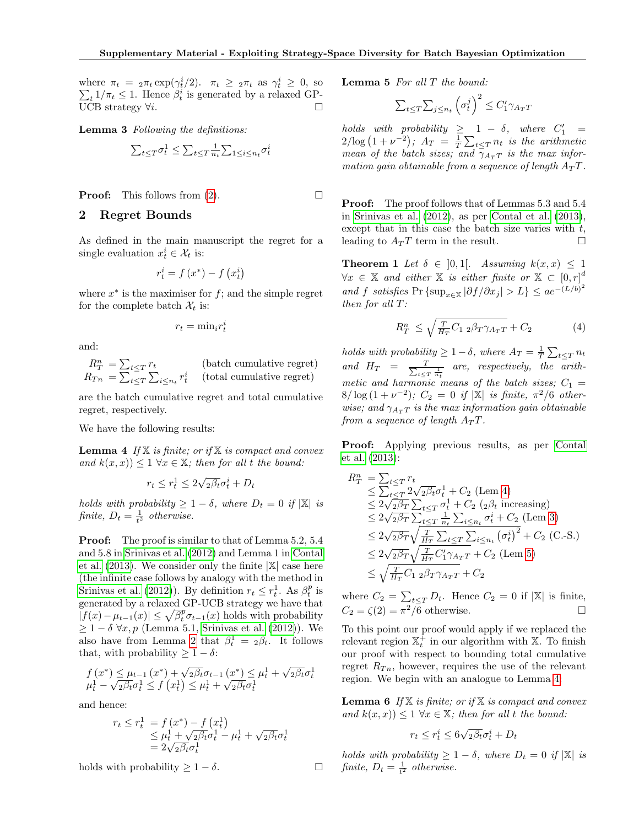where  $\pi_t = 2\pi_t \exp(\gamma_t^i/2)$ .  $\pi_t \geq 2\pi_t$  as  $\gamma_t^i \geq 0$ , so  $\sum_t 1/\pi_t \leq 1$ . Hence  $\beta_t^i$  is generated by a relaxed GP $t_t$  1/ $\pi_t \leq 1$ . Hence  $\beta_t^i$  is generated by a relaxed GP-UCB strategy  $\forall i$ .

<span id="page-1-1"></span>Lemma 3 Following the definitions:

$$
\sum_{t \le T} \sigma_t^1 \le \sum_{t \le T} \frac{1}{n_t} \sum_{1 \le i \le n_t} \sigma_t^i
$$

**Proof:** This follows from  $(2)$ .

#### 2 Regret Bounds

As defined in the main manuscript the regret for a single evaluation  $x_t^i \in \mathcal{X}_t$  is:

$$
r_t^i = f\left(x^*\right) - f\left(x_t^i\right)
$$

where  $x^*$  is the maximiser for  $f$ ; and the simple regret for the complete batch  $\mathcal{X}_t$  is:

$$
r_t = \min_i r_t^i
$$

and:

$$
R_T^n = \sum_{t \le T} r_t
$$
 (batch cumulative regret)  

$$
R_{Tn} = \sum_{t \le T} \sum_{i \le n_t} r_t^i
$$
 (total cumulative regret)

are the batch cumulative regret and total cumulative regret, respectively.

We have the following results:

**Lemma 4** If  $X$  is finite; or if  $X$  is compact and convex and  $k(x, x) \leq 1 \ \forall x \in \mathbb{X}$ ; then for all t the bound:

<span id="page-1-0"></span>
$$
r_t \le r_t^1 \le 2\sqrt{2\beta_t}\sigma_t^i + D_t
$$

holds with probability  $\geq 1-\delta$ , where  $D_t = 0$  if  $|\mathbb{X}|$  is finite,  $D_t = \frac{1}{t^2}$  otherwise.

Proof: The proof is similar to that of Lemma 5.2, 5.4 and 5.8 in [Srinivas et al.](#page-4-0) [\(2012\)](#page-4-0) and Lemma 1 in [Contal](#page-4-1) [et al.](#page-4-1)  $(2013)$ . We consider only the finite  $|\mathbb{X}|$  case here (the infinite case follows by analogy with the method in [Srinivas et al.](#page-4-0) [\(2012\)](#page-4-0)). By definition  $r_t \leq r_t^1$ . As  $\beta_t^p$  is generated by a relaxed GP-UCB strategy we have that  $|f(x) - \mu_{t-1}(x)| \leq \sqrt{\beta_t^p} \sigma_{t-1}(x)$  holds with probability  $\geq 1 - \delta \ \forall x, p$  (Lemma 5.1, [Srinivas et al.](#page-4-0) [\(2012\)](#page-4-0)). We also have from Lemma [2](#page-0-4) that  $\beta_t^1 = 2\beta_t$ . It follows that, with probability  $\geq 1 - \delta$ :

$$
f(x^*) \leq \mu_{t-1}(x^*) + \sqrt{2\beta_t}\sigma_{t-1}(x^*) \leq \mu_t^1 + \sqrt{2\beta_t}\sigma_t^1
$$
  

$$
\mu_t^1 - \sqrt{2\beta_t}\sigma_t^1 \leq f(x_t^1) \leq \mu_t^1 + \sqrt{2\beta_t}\sigma_t^1
$$

and hence:

$$
r_t \le r_t^1 = f(x^*) - f(x_t^1)
$$
  
\n
$$
\le \mu_t^1 + \sqrt{2\beta_t} \sigma_t^1 - \mu_t^1 + \sqrt{2\beta_t} \sigma_t^1
$$
  
\n
$$
= 2\sqrt{2\beta_t} \sigma_t^1
$$

<span id="page-1-2"></span>holds with probability  $\geq 1 - \delta$ .

Lemma 5 For all T the bound:

$$
\sum_{t \le T} \sum_{j \le n_t} \left( \sigma_t^j \right)^2 \le C_1' \gamma_{A_T T}
$$

 $holds \ with \ probability \ \geq \ \ 1 - \delta, \ \ where \ \ C'_1 \ =$  $2/\log(1+\nu^{-2})$ ;  $A_T = \frac{1}{T}\sum_{t\leq T} n_t$  is the arithmetic mean of the batch sizes; and  $\bar{\gamma}_{A_T T}$  is the max information gain obtainable from a sequence of length  $A_T T$ .

Proof: The proof follows that of Lemmas 5.3 and 5.4 in [Srinivas et al.](#page-4-0) [\(2012\)](#page-4-0), as per [Contal et al.](#page-4-1) [\(2013\)](#page-4-1), except that in this case the batch size varies with  $t$ , leading to  $A_T T$  term in the result.  $\square$ 

**Theorem 1** Let  $\delta \in [0,1]$ . Assuming  $k(x, x) \leq 1$  $\forall x \in \mathbb{X}$  and either  $\mathbb{X}$  is either finite or  $\mathbb{X} \subset [0,r]^d$ and f satisfies Pr {sup<sub>x∈X</sub>  $|\partial f/\partial x_j| > L$ }  $\leq a e^{-(L/b)^2}$ then for all T:

<span id="page-1-3"></span>
$$
R_T^n \le \sqrt{\frac{T}{H_T} C_{12} \beta_T \gamma_{A_T T}} + C_2 \tag{4}
$$

holds with probability  $\geq 1-\delta$ , where  $A_T = \frac{1}{T} \sum_{t \leq T} n_t$ and  $H_T = \frac{T}{\sum_{t \leq T}}$  $\frac{T}{t \leq T}$  are, respectively, the arithmetic and harmonic means of the batch sizes;  $C_1 =$  $8/\log(1+\nu^{-2})$ ;  $C_2 = 0$  if  $|\mathbb{X}|$  is finite,  $\pi^2/6$  otherwise; and  $\gamma_{A_T T}$  is the max information gain obtainable from a sequence of length  $A_T T$ .

Proof: Applying previous results, as per [Contal](#page-4-1) [et al.](#page-4-1) [\(2013\)](#page-4-1):

$$
R_T^n = \sum_{t \le T} r_t
$$
  
\n
$$
\le \sum_{t \le T} 2\sqrt{2\beta_t} \sigma_t^1 + C_2 \text{ (Lem 4)}
$$
  
\n
$$
\le 2\sqrt{2\beta_T} \sum_{t \le T} \sigma_t^1 + C_2 \text{ (2\beta_t increasing)}
$$
  
\n
$$
\le 2\sqrt{2\beta_T} \sum_{t \le T} \frac{1}{n_t} \sum_{i \le n_t} \sigma_t^i + C_2 \text{ (Lem 3)}
$$
  
\n
$$
\le 2\sqrt{2\beta_T} \sqrt{\frac{T}{H_T} \sum_{t \le T} \sum_{i \le n_t} (\sigma_t^i)^2} + C_2 \text{ (C-S.)}
$$
  
\n
$$
\le 2\sqrt{2\beta_T} \sqrt{\frac{T}{H_T} C_1' \gamma_{A_T T}} + C_2 \text{ (Lem 5)}
$$
  
\n
$$
\le \sqrt{\frac{T}{H_T} C_1 \gamma_{A_T T}} + C_2
$$

where  $C_2 = \sum_{t \leq T} D_t$ . Hence  $C_2 = 0$  if  $|\mathbb{X}|$  is finite,  $C_2 = \zeta(2) = \pi^2/\overline{6}$  otherwise.

To this point our proof would apply if we replaced the relevant region  $\mathbb{X}_{t}^{+}$  in our algorithm with X. To finish our proof with respect to bounding total cumulative regret  $R_{T_n}$ , however, requires the use of the relevant region. We begin with an analogue to Lemma [4:](#page-1-0)

<span id="page-1-4"></span>**Lemma 6** If  $X$  is finite; or if  $X$  is compact and convex and  $k(x, x) \leq 1 \ \forall x \in \mathbb{X}$ ; then for all t the bound:

$$
r_t \le r_t^i \le 6\sqrt{2\beta_t}\sigma_t^i + D_t
$$

holds with probability  $\geq 1-\delta$ , where  $D_t = 0$  if  $|\mathbb{X}|$  is finite,  $D_t = \frac{1}{t^2}$  otherwise.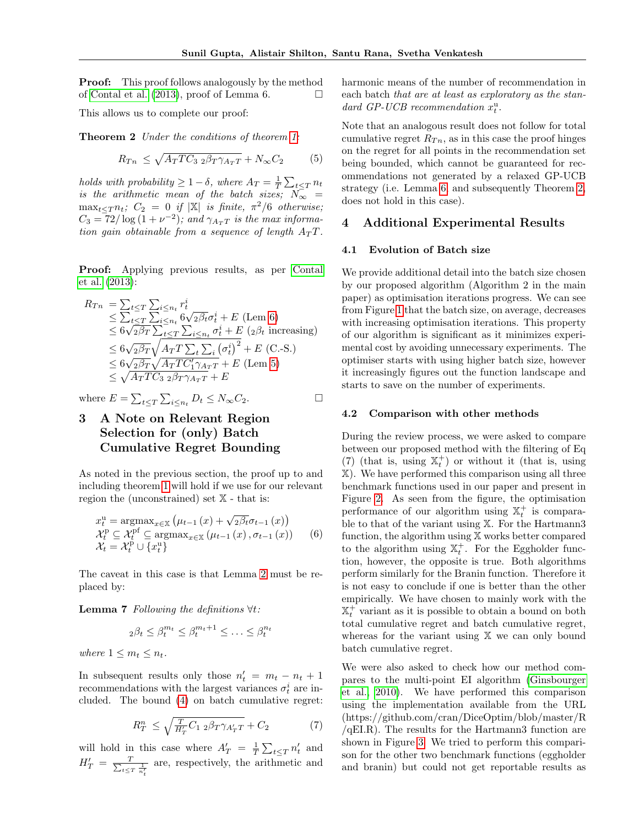**Proof:** This proof follows analogously by the method of [Contal et al.](#page-4-1) [\(2013\)](#page-4-1), proof of Lemma 6.

This allows us to complete our proof:

Theorem 2 Under the conditions of theorem [1:](#page-1-3)

$$
R_{T n} \le \sqrt{A_T T C_3 \; 2\beta_T \gamma_{A_T T}} + N_{\infty} C_2 \tag{5}
$$

holds with probability  $\geq 1-\delta$ , where  $A_T = \frac{1}{T} \sum_{t \leq T} n_t$ is the arithmetic mean of the batch sizes;  $N_{\infty}$  =  $\max_{t \leq T} n_t$ ;  $C_2 = 0$  if  $|\mathbb{X}|$  is finite,  $\pi^2/6$  otherwise;  $C_3 = 72/\log(1+\nu^{-2})$ ; and  $\gamma_{A_T T}$  is the max information gain obtainable from a sequence of length  $A_T T$ .

Proof: Applying previous results, as per [Contal](#page-4-1) [et al.](#page-4-1) [\(2013\)](#page-4-1):

$$
R_{Tn} = \sum_{t \leq T} \sum_{i \leq n_t} r_t^i
$$
  
\n
$$
\leq \sum_{t \leq T} \sum_{i \leq n_t} 6\sqrt{2\beta_t} \sigma_t^i + E \text{ (Lem 6)}
$$
  
\n
$$
\leq 6\sqrt{2\beta_T} \sum_{t \leq T} \sum_{i \leq n_t} \sigma_t^i + E \text{ (2\beta_t increasing)}
$$
  
\n
$$
\leq 6\sqrt{2\beta_T} \sqrt{A_T T \sum_{t} \sum_{i} (\sigma_t^i)^2} + E \text{ (C-S.)}
$$
  
\n
$$
\leq 6\sqrt{2\beta_T} \sqrt{A_T T C_1' \gamma_{A_T T}} + E \text{ (Lem 5)}
$$
  
\n
$$
\leq \sqrt{A_T T C_3} 2\beta_T \gamma_{A_T T} + E
$$

where  $E = \sum_{t \leq T} \sum_{i \leq n_t} D_t \leq N_{\infty} C_2$ .

# 3 A Note on Relevant Region Selection for (only) Batch Cumulative Regret Bounding

As noted in the previous section, the proof up to and including theorem [1](#page-1-3) will hold if we use for our relevant region the (unconstrained) set X - that is:

$$
x_t^u = \operatorname{argmax}_{x \in \mathbb{X}} (\mu_{t-1}(x) + \sqrt{2\beta_t} \sigma_{t-1}(x))
$$
  
\n
$$
\mathcal{X}_t^p \subseteq \mathcal{X}_t^{pf} \subseteq \operatorname{argmax}_{x \in \mathbb{X}} (\mu_{t-1}(x), \sigma_{t-1}(x))
$$
 (6)  
\n
$$
\mathcal{X}_t = \mathcal{X}_t^p \cup \{x_t^u\}
$$

The caveat in this case is that Lemma [2](#page-0-4) must be replaced by:

**Lemma 7** Following the definitions  $\forall t$ :

$$
_2\beta_t \leq \beta_t^{m_t} \leq \beta_t^{m_t+1} \leq \ldots \leq \beta_t^{n_t}
$$

where  $1 \leq m_t \leq n_t$ .

In subsequent results only those  $n'_t = m_t - n_t + 1$ recommendations with the largest variances  $\sigma_t^i$  are included. The bound [\(4\)](#page-1-3) on batch cumulative regret:

$$
R_T^n \le \sqrt{\frac{T}{H_T'} C_{1\ 2} \beta_T \gamma_{A_T'} T} + C_2 \tag{7}
$$

will hold in this case where  $A'_T = \frac{1}{T} \sum_{t \leq T} n'_t$  and  $H'_T = \frac{T}{\sum_{t \le T}}$  $t \leq T \frac{1}{n'_t}$ are, respectively, the arithmetic and harmonic means of the number of recommendation in each batch that are at least as exploratory as the standard GP-UCB recommendation  $x_t^u$ .

<span id="page-2-0"></span>Note that an analogous result does not follow for total cumulative regret  $R_{T_n}$ , as in this case the proof hinges on the regret for all points in the recommendation set being bounded, which cannot be guaranteed for recommendations not generated by a relaxed GP-UCB strategy (i.e. Lemma [6,](#page-1-4) and subsequently Theorem [2,](#page-2-0) does not hold in this case).

#### 4 Additional Experimental Results

#### 4.1 Evolution of Batch size

We provide additional detail into the batch size chosen by our proposed algorithm (Algorithm 2 in the main paper) as optimisation iterations progress. We can see from Figure [1](#page-3-0) that the batch size, on average, decreases with increasing optimisation iterations. This property of our algorithm is significant as it minimizes experimental cost by avoiding unnecessary experiments. The optimiser starts with using higher batch size, however it increasingly figures out the function landscape and starts to save on the number of experiments.

#### 4.2 Comparison with other methods

During the review process, we were asked to compare between our proposed method with the filtering of Eq (7) (that is, using  $\mathbb{X}_{t}^{+}$ ) or without it (that is, using X). We have performed this comparison using all three benchmark functions used in our paper and present in Figure [2.](#page-3-1) As seen from the figure, the optimisation performance of our algorithm using  $\mathbb{X}_{t}^{+}$  is comparable to that of the variant using X. For the Hartmann3 function, the algorithm using X works better compared to the algorithm using  $\mathbb{X}_t^+$ . For the Eggholder function, however, the opposite is true. Both algorithms perform similarly for the Branin function. Therefore it is not easy to conclude if one is better than the other empirically. We have chosen to mainly work with the  $\mathbb{X}_{t}^{+}$  variant as it is possible to obtain a bound on both total cumulative regret and batch cumulative regret, whereas for the variant using X we can only bound batch cumulative regret.

We were also asked to check how our method compares to the multi-point EI algorithm [\(Ginsbourger](#page-4-2) [et al., 2010\)](#page-4-2). We have performed this comparison using the implementation available from the URL (https://github.com/cran/DiceOptim/blob/master/R  $/qELR$ ). The results for the Hartmann3 function are shown in Figure [3.](#page-4-3) We tried to perform this comparison for the other two benchmark functions (eggholder and branin) but could not get reportable results as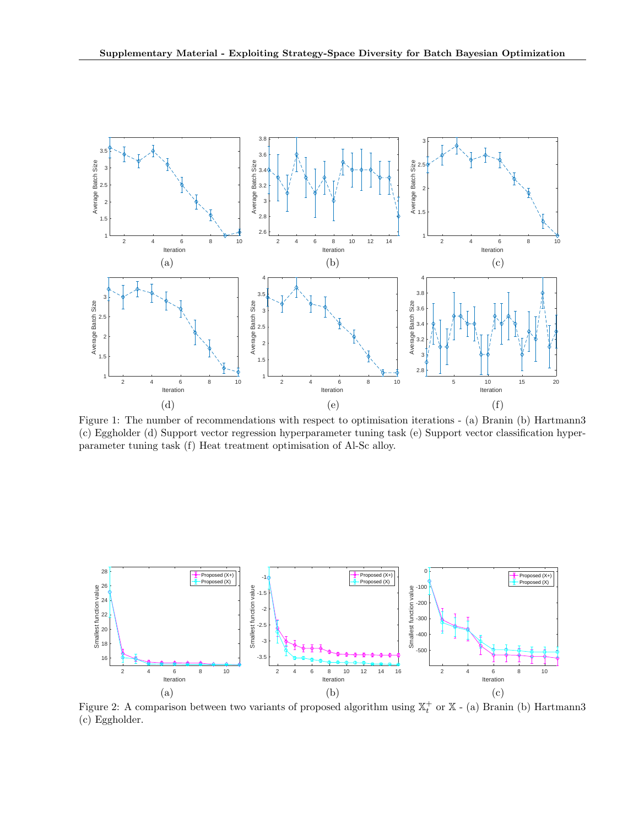<span id="page-3-0"></span>

Figure 1: The number of recommendations with respect to optimisation iterations - (a) Branin (b) Hartmann3 (c) Eggholder (d) Support vector regression hyperparameter tuning task (e) Support vector classification hyperparameter tuning task (f) Heat treatment optimisation of Al-Sc alloy.

<span id="page-3-1"></span>

Figure 2: A comparison between two variants of proposed algorithm using  $\mathbb{X}_{t}^{+}$  or  $\mathbb{X}$  - (a) Branin (b) Hartmann3 (c) Eggholder.